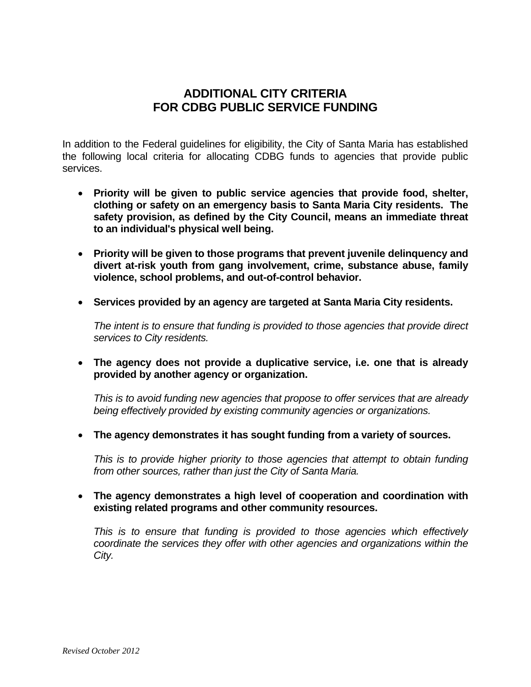## **ADDITIONAL CITY CRITERIA FOR CDBG PUBLIC SERVICE FUNDING**

In addition to the Federal guidelines for eligibility, the City of Santa Maria has established the following local criteria for allocating CDBG funds to agencies that provide public services.

- **Priority will be given to public service agencies that provide food, shelter, clothing or safety on an emergency basis to Santa Maria City residents. The safety provision, as defined by the City Council, means an immediate threat to an individual's physical well being.**
- **Priority will be given to those programs that prevent juvenile delinquency and divert at-risk youth from gang involvement, crime, substance abuse, family violence, school problems, and out-of-control behavior.**
- **Services provided by an agency are targeted at Santa Maria City residents.**

*The intent is to ensure that funding is provided to those agencies that provide direct services to City residents.*

 **The agency does not provide a duplicative service, i.e. one that is already provided by another agency or organization.**

*This is to avoid funding new agencies that propose to offer services that are already being effectively provided by existing community agencies or organizations.*

**The agency demonstrates it has sought funding from a variety of sources.**

*This is to provide higher priority to those agencies that attempt to obtain funding from other sources, rather than just the City of Santa Maria.*

 **The agency demonstrates a high level of cooperation and coordination with existing related programs and other community resources.**

*This is to ensure that funding is provided to those agencies which effectively coordinate the services they offer with other agencies and organizations within the City.*